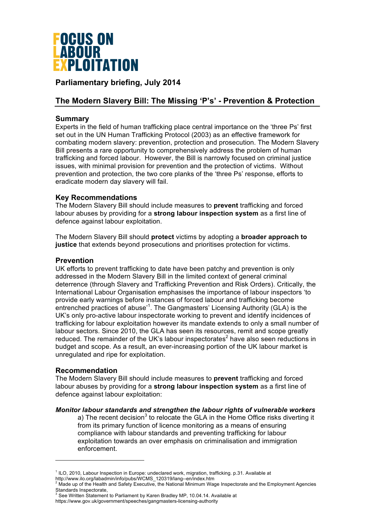

# **Parliamentary briefing, July 2014**

# **The Modern Slavery Bill: The Missing 'P's' - Prevention & Protection**

# **Summary**

Experts in the field of human trafficking place central importance on the 'three Ps' first set out in the UN Human Trafficking Protocol (2003) as an effective framework for combating modern slavery: prevention, protection and prosecution. The Modern Slavery Bill presents a rare opportunity to comprehensively address the problem of human trafficking and forced labour. However, the Bill is narrowly focused on criminal justice issues, with minimal provision for prevention and the protection of victims. Without prevention and protection, the two core planks of the 'three Ps' response, efforts to eradicate modern day slavery will fail.

# **Key Recommendations**

The Modern Slavery Bill should include measures to **prevent** trafficking and forced labour abuses by providing for a **strong labour inspection system** as a first line of defence against labour exploitation.

The Modern Slavery Bill should **protect** victims by adopting a **broader approach to justice** that extends beyond prosecutions and prioritises protection for victims.

# **Prevention**

UK efforts to prevent trafficking to date have been patchy and prevention is only addressed in the Modern Slavery Bill in the limited context of general criminal deterrence (through Slavery and Trafficking Prevention and Risk Orders). Critically, the International Labour Organisation emphasises the importance of labour inspectors 'to provide early warnings before instances of forced labour and trafficking become entrenched practices of abuse<sup>1</sup>. The Gangmasters' Licensing Authority (GLA) is the UK's only pro-active labour inspectorate working to prevent and identify incidences of trafficking for labour exploitation however its mandate extends to only a small number of labour sectors. Since 2010, the GLA has seen its resources, remit and scope greatly reduced. The remainder of the UK's labour inspectorates<sup>2</sup> have also seen reductions in budget and scope. As a result, an ever-increasing portion of the UK labour market is unregulated and ripe for exploitation.

# **Recommendation**

1

The Modern Slavery Bill should include measures to **prevent** trafficking and forced labour abuses by providing for a **strong labour inspection system** as a first line of defence against labour exploitation:

# *Monitor labour standards and strengthen the labour rights of vulnerable workers*

a) The recent decision<sup>3</sup> to relocate the GLA in the Home Office risks diverting it from its primary function of licence monitoring as a means of ensuring compliance with labour standards and preventing trafficking for labour exploitation towards an over emphasis on criminalisation and immigration enforcement.

 $3$  See Written Statement to Parliament by Karen Bradley MP, 10.04.14. Available at

https://www.gov.uk/government/speeches/gangmasters-licensing-authority

<sup>1</sup> ILO, 2010, Labour Inspection in Europe: undeclared work, migration, trafficking. p.31. Available at http://www.ilo.org/labadmin/info/pubs/WCMS\_120319/lang--en/index.htm

Made up of the Health and Safety Executive, the National Minimum Wage Inspectorate and the Employment Agencies Standards Inspectorate,